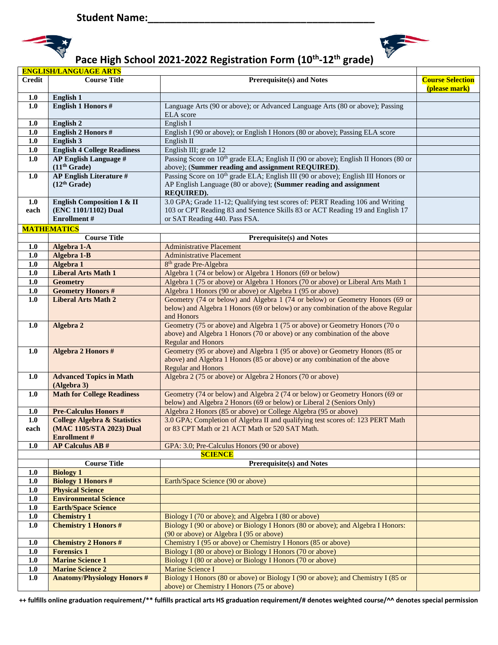



|               | <b>ENGLISH/LANGUAGE ARTS</b>                             |                                                                                                                                                      |                                          |  |
|---------------|----------------------------------------------------------|------------------------------------------------------------------------------------------------------------------------------------------------------|------------------------------------------|--|
| <b>Credit</b> | <b>Course Title</b>                                      | Prerequisite(s) and Notes                                                                                                                            | <b>Course Selection</b><br>(please mark) |  |
| 1.0           | English 1                                                |                                                                                                                                                      |                                          |  |
| 1.0           | <b>English 1 Honors #</b>                                | Language Arts (90 or above); or Advanced Language Arts (80 or above); Passing<br><b>ELA</b> score                                                    |                                          |  |
| 1.0           | <b>English 2</b>                                         | English I                                                                                                                                            |                                          |  |
| 1.0           | <b>English 2 Honors #</b>                                | English I (90 or above); or English I Honors (80 or above); Passing ELA score                                                                        |                                          |  |
| 1.0           | English 3                                                | English II                                                                                                                                           |                                          |  |
| 1.0           | <b>English 4 College Readiness</b>                       | English III; grade 12                                                                                                                                |                                          |  |
| 1.0           | <b>AP English Language #</b><br>(11 <sup>th</sup> Grade) | Passing Score on 10 <sup>th</sup> grade ELA; English II (90 or above); English II Honors (80 or<br>above); (Summer reading and assignment REQUIRED). |                                          |  |
| 1.0           | <b>AP English Literature #</b>                           | Passing Score on 10 <sup>th</sup> grade ELA; English III (90 or above); English III Honors or                                                        |                                          |  |
|               | (12 <sup>th</sup> Grade)                                 | AP English Language (80 or above); (Summer reading and assignment<br>REQUIRED).                                                                      |                                          |  |
| 1.0           | <b>English Composition I &amp; II</b>                    | 3.0 GPA; Grade 11-12; Qualifying test scores of: PERT Reading 106 and Writing                                                                        |                                          |  |
| each          | (ENC 1101/1102) Dual                                     | 103 or CPT Reading 83 and Sentence Skills 83 or ACT Reading 19 and English 17                                                                        |                                          |  |
|               | <b>Enrollment</b> #                                      | or SAT Reading 440. Pass FSA.                                                                                                                        |                                          |  |
|               | <b>MATHEMATICS</b>                                       |                                                                                                                                                      |                                          |  |
|               | <b>Course Title</b>                                      | <b>Prerequisite(s) and Notes</b>                                                                                                                     |                                          |  |
| 1.0           | Algebra 1-A                                              | <b>Administrative Placement</b>                                                                                                                      |                                          |  |
| 1.0           | Algebra 1-B                                              | <b>Administrative Placement</b>                                                                                                                      |                                          |  |
| 1.0           | Algebra 1                                                | 8 <sup>th</sup> grade Pre-Algebra                                                                                                                    |                                          |  |
| 1.0           | <b>Liberal Arts Math 1</b>                               | Algebra 1 (74 or below) or Algebra 1 Honors (69 or below)                                                                                            |                                          |  |
| 1.0           | <b>Geometry</b>                                          | Algebra 1 (75 or above) or Algebra 1 Honors (70 or above) or Liberal Arts Math 1                                                                     |                                          |  |
| 1.0           | <b>Geometry Honors #</b>                                 | Algebra 1 Honors (90 or above) or Algebra 1 (95 or above)                                                                                            |                                          |  |
| 1.0           | <b>Liberal Arts Math 2</b>                               | Geometry (74 or below) and Algebra 1 (74 or below) or Geometry Honors (69 or                                                                         |                                          |  |
|               |                                                          | below) and Algebra 1 Honors (69 or below) or any combination of the above Regular                                                                    |                                          |  |
|               |                                                          | and Honors                                                                                                                                           |                                          |  |
| 1.0           | Algebra 2                                                | Geometry (75 or above) and Algebra 1 (75 or above) or Geometry Honors (70 o                                                                          |                                          |  |
|               |                                                          | above) and Algebra 1 Honors (70 or above) or any combination of the above                                                                            |                                          |  |
|               |                                                          | <b>Regular and Honors</b>                                                                                                                            |                                          |  |
| 1.0           | Algebra 2 Honors #                                       | Geometry (95 or above) and Algebra 1 (95 or above) or Geometry Honors (85 or                                                                         |                                          |  |
|               |                                                          | above) and Algebra 1 Honors (85 or above) or any combination of the above                                                                            |                                          |  |
|               |                                                          | <b>Regular and Honors</b>                                                                                                                            |                                          |  |
| 1.0           | <b>Advanced Topics in Math</b><br>(Algebra 3)            | Algebra 2 (75 or above) or Algebra 2 Honors (70 or above)                                                                                            |                                          |  |
| 1.0           | <b>Math for College Readiness</b>                        | Geometry (74 or below) and Algebra 2 (74 or below) or Geometry Honors (69 or                                                                         |                                          |  |
|               |                                                          | below) and Algebra 2 Honors (69 or below) or Liberal 2 (Seniors Only)                                                                                |                                          |  |
| 1.0           | <b>Pre-Calculus Honors #</b>                             | Algebra 2 Honors (85 or above) or College Algebra (95 or above)                                                                                      |                                          |  |
| 1.0           | <b>College Algebra &amp; Statistics</b>                  | 3.0 GPA; Completion of Algebra II and qualifying test scores of: 123 PERT Math                                                                       |                                          |  |
| each          | (MAC 1105/STA 2023) Dual                                 | or 83 CPT Math or 21 ACT Math or 520 SAT Math.                                                                                                       |                                          |  |
|               | <b>Enrollment</b> #                                      |                                                                                                                                                      |                                          |  |
| 1.0           | <b>AP Calculus AB#</b>                                   | GPA: 3.0; Pre-Calculus Honors (90 or above)                                                                                                          |                                          |  |
|               |                                                          | <b>SCIENCE</b>                                                                                                                                       |                                          |  |
|               | <b>Course Title</b>                                      | <b>Prerequisite(s) and Notes</b>                                                                                                                     |                                          |  |
| 1.0           | <b>Biology 1</b>                                         |                                                                                                                                                      |                                          |  |
| 1.0           | <b>Biology 1 Honors #</b>                                | Earth/Space Science (90 or above)                                                                                                                    |                                          |  |
| 1.0           | <b>Physical Science</b>                                  |                                                                                                                                                      |                                          |  |
| $1.0\,$       | <b>Environmental Science</b>                             |                                                                                                                                                      |                                          |  |
| 1.0           | <b>Earth/Space Science</b>                               |                                                                                                                                                      |                                          |  |
| 1.0           | <b>Chemistry 1</b>                                       | Biology I (70 or above); and Algebra I (80 or above)                                                                                                 |                                          |  |
| 1.0           | <b>Chemistry 1 Honors #</b>                              | Biology I (90 or above) or Biology I Honors (80 or above); and Algebra I Honors:<br>(90 or above) or Algebra I (95 or above)                         |                                          |  |
| 1.0           | <b>Chemistry 2 Honors #</b>                              | Chemistry I (95 or above) or Chemistry I Honors (85 or above)                                                                                        |                                          |  |
| 1.0           | <b>Forensics 1</b>                                       | Biology I (80 or above) or Biology I Honors (70 or above)                                                                                            |                                          |  |
| 1.0           | <b>Marine Science 1</b>                                  | Biology I (80 or above) or Biology I Honors (70 or above)                                                                                            |                                          |  |
| $1.0\,$       | <b>Marine Science 2</b>                                  | <b>Marine Science I</b>                                                                                                                              |                                          |  |
| 1.0           | <b>Anatomy/Physiology Honors #</b>                       | Biology I Honors (80 or above) or Biology I (90 or above); and Chemistry I (85 or                                                                    |                                          |  |
|               |                                                          | above) or Chemistry I Honors (75 or above)                                                                                                           |                                          |  |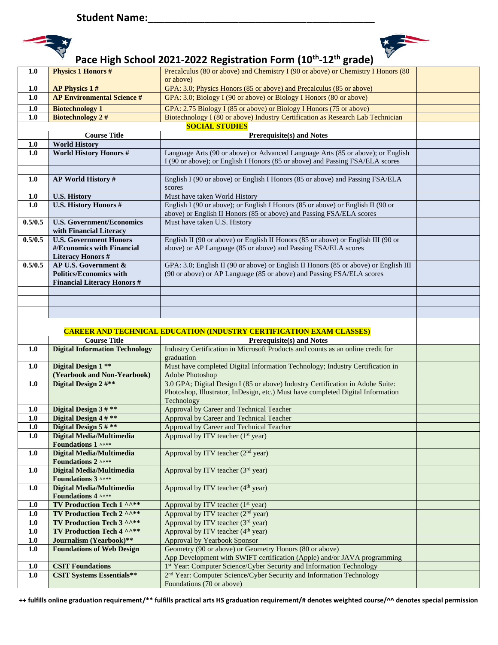



| 1.0        | <b>Physics 1 Honors #</b>                              | Precalculus (80 or above) and Chemistry I (90 or above) or Chemistry I Honors (80                                                                                |  |  |
|------------|--------------------------------------------------------|------------------------------------------------------------------------------------------------------------------------------------------------------------------|--|--|
|            |                                                        | or above)                                                                                                                                                        |  |  |
| 1.0        | <b>AP Physics 1#</b>                                   | GPA: 3.0; Physics Honors (85 or above) and Precalculus (85 or above)                                                                                             |  |  |
| 1.0        | <b>AP Environmental Science #</b>                      | GPA: 3.0; Biology I (90 or above) or Biology I Honors (80 or above)                                                                                              |  |  |
| 1.0        | <b>Biotechnology 1</b>                                 | GPA: 2.75 Biology I (85 or above) or Biology I Honors (75 or above)                                                                                              |  |  |
| $1.0$      | <b>Biotechnology 2#</b>                                | Biotechnology I (80 or above) Industry Certification as Research Lab Technician                                                                                  |  |  |
|            | <b>SOCIAL STUDIES</b>                                  |                                                                                                                                                                  |  |  |
|            | <b>Course Title</b>                                    | <b>Prerequisite(s) and Notes</b>                                                                                                                                 |  |  |
| 1.0        | <b>World History</b>                                   |                                                                                                                                                                  |  |  |
| 1.0        | <b>World History Honors #</b>                          | Language Arts (90 or above) or Advanced Language Arts (85 or above); or English<br>I (90 or above); or English I Honors (85 or above) and Passing FSA/ELA scores |  |  |
|            |                                                        |                                                                                                                                                                  |  |  |
| 1.0        | <b>AP World History #</b>                              | English I (90 or above) or English I Honors (85 or above) and Passing FSA/ELA                                                                                    |  |  |
|            |                                                        | scores                                                                                                                                                           |  |  |
| 1.0        | <b>U.S. History</b>                                    | Must have taken World History                                                                                                                                    |  |  |
| 1.0        | <b>U.S. History Honors #</b>                           | English I (90 or above); or English I Honors (85 or above) or English II (90 or                                                                                  |  |  |
|            |                                                        | above) or English II Honors (85 or above) and Passing FSA/ELA scores                                                                                             |  |  |
| 0.5/0.5    | <b>U.S. Government/Economics</b>                       | Must have taken U.S. History                                                                                                                                     |  |  |
|            | with Financial Literacy                                |                                                                                                                                                                  |  |  |
| 0.5/0.5    | <b>U.S. Government Honors</b>                          | English II (90 or above) or English II Honors (85 or above) or English III (90 or                                                                                |  |  |
|            | #/Economics with Financial<br><b>Literacy Honors #</b> | above) or AP Language (85 or above) and Passing FSA/ELA scores                                                                                                   |  |  |
| 0.5/0.5    | AP U.S. Government &                                   | GPA: 3.0; English II (90 or above) or English II Honors (85 or above) or English III                                                                             |  |  |
|            | <b>Politics/Economics with</b>                         | (90 or above) or AP Language (85 or above) and Passing FSA/ELA scores                                                                                            |  |  |
|            | <b>Financial Literacy Honors #</b>                     |                                                                                                                                                                  |  |  |
|            |                                                        |                                                                                                                                                                  |  |  |
|            |                                                        |                                                                                                                                                                  |  |  |
|            |                                                        |                                                                                                                                                                  |  |  |
|            |                                                        |                                                                                                                                                                  |  |  |
|            |                                                        |                                                                                                                                                                  |  |  |
|            |                                                        |                                                                                                                                                                  |  |  |
|            | <b>Course Title</b>                                    | <b>CAREER AND TECHNICAL EDUCATION (INDUSTRY CERTIFICATION EXAM CLASSES)</b>                                                                                      |  |  |
| 1.0        | <b>Digital Information Technology</b>                  | <b>Prerequisite(s) and Notes</b><br>Industry Certification in Microsoft Products and counts as an online credit for                                              |  |  |
|            |                                                        | graduation                                                                                                                                                       |  |  |
| 1.0        | Digital Design 1 **                                    | Must have completed Digital Information Technology; Industry Certification in                                                                                    |  |  |
|            | (Yearbook and Non-Yearbook)                            | Adobe Photoshop                                                                                                                                                  |  |  |
| 1.0        | Digital Design 2 #**                                   | 3.0 GPA; Digital Design I (85 or above) Industry Certification in Adobe Suite:                                                                                   |  |  |
|            |                                                        | Photoshop, Illustrator, InDesign, etc.) Must have completed Digital Information                                                                                  |  |  |
|            |                                                        | Technology                                                                                                                                                       |  |  |
| 1.0        | Digital Design 3#**                                    | Approval by Career and Technical Teacher                                                                                                                         |  |  |
| 1.0        | Digital Design 4 #**                                   | Approval by Career and Technical Teacher                                                                                                                         |  |  |
| 1.0<br>1.0 | Digital Design 5 # **                                  | Approval by Career and Technical Teacher                                                                                                                         |  |  |
|            | <b>Digital Media/Multimedia</b><br>Foundations 1 ^^**  | Approval by ITV teacher $(1st$ year)                                                                                                                             |  |  |
| 1.0        | <b>Digital Media/Multimedia</b>                        | Approval by ITV teacher (2 <sup>nd</sup> year)                                                                                                                   |  |  |
|            | Foundations 2 ^^**                                     |                                                                                                                                                                  |  |  |
| 1.0        | <b>Digital Media/Multimedia</b>                        | Approval by ITV teacher (3rd year)                                                                                                                               |  |  |
|            | Foundations 3 ^^**                                     |                                                                                                                                                                  |  |  |
| 1.0        | Digital Media/Multimedia                               | Approval by ITV teacher (4 <sup>th</sup> year)                                                                                                                   |  |  |
|            | Foundations 4 ^^**                                     |                                                                                                                                                                  |  |  |
| 1.0        | <b>TV Production Tech 1 ^^**</b>                       | Approval by ITV teacher (1 <sup>st</sup> year)                                                                                                                   |  |  |
| 1.0        | TV Production Tech 2 ^^**                              | Approval by ITV teacher $(2nd$ year)                                                                                                                             |  |  |
| 1.0        | <b>TV Production Tech 3 ^^**</b>                       | Approval by ITV teacher (3rd year)                                                                                                                               |  |  |
| 1.0<br>1.0 | TV Production Tech 4 ^^**<br>Journalism (Yearbook)**   | Approval by ITV teacher (4 <sup>th</sup> year)                                                                                                                   |  |  |
| 1.0        | <b>Foundations of Web Design</b>                       | <b>Approval by Yearbook Sponsor</b><br>Geometry (90 or above) or Geometry Honors (80 or above)                                                                   |  |  |
|            |                                                        | App Development with SWIFT certification (Apple) and/or JAVA programming                                                                                         |  |  |
| 1.0        | <b>CSIT Foundations</b>                                | 1st Year: Computer Science/Cyber Security and Information Technology                                                                                             |  |  |
| $1.0$      | <b>CSIT Systems Essentials**</b>                       | 2 <sup>nd</sup> Year: Computer Science/Cyber Security and Information Technology<br>Foundations (70 or above)                                                    |  |  |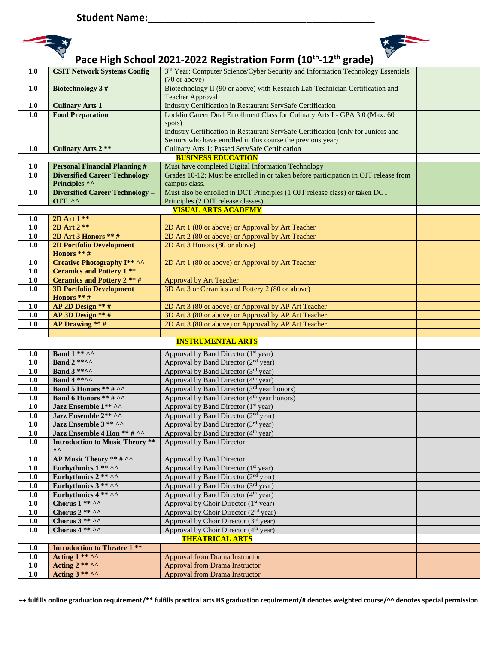



| 1.0              | 3rd Year: Computer Science/Cyber Security and Information Technology Essentials<br><b>CSIT Network Systems Config</b> |                                                                                                                                             |  |
|------------------|-----------------------------------------------------------------------------------------------------------------------|---------------------------------------------------------------------------------------------------------------------------------------------|--|
|                  | (70 or above)                                                                                                         |                                                                                                                                             |  |
| 1.0              | <b>Biotechnology 3#</b>                                                                                               | Biotechnology II (90 or above) with Research Lab Technician Certification and                                                               |  |
|                  |                                                                                                                       | <b>Teacher Approval</b>                                                                                                                     |  |
| 1.0<br>1.0       | <b>Culinary Arts 1</b><br><b>Food Preparation</b>                                                                     | Industry Certification in Restaurant ServSafe Certification<br>Locklin Career Dual Enrollment Class for Culinary Arts I - GPA 3.0 (Max: 60) |  |
|                  |                                                                                                                       | spots)                                                                                                                                      |  |
|                  |                                                                                                                       | Industry Certification in Restaurant ServSafe Certification (only for Juniors and                                                           |  |
|                  |                                                                                                                       | Seniors who have enrolled in this course the previous year)                                                                                 |  |
| 1.0              | <b>Culinary Arts 2 **</b><br>Culinary Arts 1; Passed ServSafe Certification                                           |                                                                                                                                             |  |
|                  | <b>BUSINESS EDUCATION</b>                                                                                             |                                                                                                                                             |  |
| 1.0              | <b>Personal Financial Planning #</b>                                                                                  | Must have completed Digital Information Technology                                                                                          |  |
| $\overline{1.0}$ | <b>Diversified Career Technology</b>                                                                                  | Grades 10-12; Must be enrolled in or taken before participation in OJT release from                                                         |  |
|                  | Principles ^^                                                                                                         | campus class.                                                                                                                               |  |
| 1.0              | <b>Diversified Career Technology -</b>                                                                                | Must also be enrolled in DCT Principles (1 OJT release class) or taken DCT                                                                  |  |
|                  |                                                                                                                       | OJT ^^<br>Principles (2 OJT release classes)                                                                                                |  |
|                  |                                                                                                                       | <b>VISUAL ARTS ACADEMY</b>                                                                                                                  |  |
| 1.0<br>1.0       | 2D Art 1 **<br>$2D$ Art $2**$                                                                                         | 2D Art 1 (80 or above) or Approval by Art Teacher                                                                                           |  |
| 1.0              | 2D Art 3 Honors ** #                                                                                                  | 2D Art 2 (80 or above) or Approval by Art Teacher                                                                                           |  |
| 1.0              | <b>2D Portfolio Development</b>                                                                                       | 2D Art 3 Honors (80 or above)                                                                                                               |  |
|                  | Honors ** #                                                                                                           |                                                                                                                                             |  |
| 1.0              | <b>Creative Photography I** ^^</b>                                                                                    | 2D Art 1 (80 or above) or Approval by Art Teacher                                                                                           |  |
| 1.0              | <b>Ceramics and Pottery 1 **</b>                                                                                      |                                                                                                                                             |  |
| 1.0              | <b>Ceramics and Pottery 2 ** #</b>                                                                                    | <b>Approval by Art Teacher</b>                                                                                                              |  |
| 1.0              | <b>3D Portfolio Development</b>                                                                                       | 3D Art 3 or Ceramics and Pottery 2 (80 or above)                                                                                            |  |
|                  | Honors ** #                                                                                                           |                                                                                                                                             |  |
| 1.0              | AP 2D Design ** #                                                                                                     | 2D Art 3 (80 or above) or Approval by AP Art Teacher                                                                                        |  |
| 1.0              | AP 3D Design ** #                                                                                                     | 3D Art 3 (80 or above) or Approval by AP Art Teacher                                                                                        |  |
| 1.0              | <b>AP Drawing</b> ** $#$                                                                                              | 2D Art 3 (80 or above) or Approval by AP Art Teacher                                                                                        |  |
|                  |                                                                                                                       | <b>INSTRUMENTAL ARTS</b>                                                                                                                    |  |
|                  |                                                                                                                       |                                                                                                                                             |  |
| 1.0              | Band $1**\wedge\wedge$                                                                                                | Approval by Band Director (1 <sup>st</sup> year)                                                                                            |  |
| 1.0              | Band $2$ **^^                                                                                                         | Approval by Band Director (2 <sup>nd</sup> year)                                                                                            |  |
| 1.0              | <b>Band 3 *****</b><br><b>Band 4 *****</b>                                                                            | Approval by Band Director (3rd year)<br>Approval by Band Director (4 <sup>th</sup> year)                                                    |  |
| 1.0<br>1.0       | Band 5 Honors ** # ^^                                                                                                 | Approval by Band Director (3rd year honors)                                                                                                 |  |
| 1.0              | <b>Band 6 Honors ** # ^^</b>                                                                                          | Approval by Band Director (4 <sup>th</sup> year honors)                                                                                     |  |
| 1.0              | Jazz Ensemble 1** ^^                                                                                                  | Approval by Band Director (1 <sup>st</sup> year)                                                                                            |  |
| 1.0              | Jazz Ensemble 2** ^^                                                                                                  | Approval by Band Director (2 <sup>nd</sup> year)                                                                                            |  |
| 1.0              | Jazz Ensemble 3 ** ^^                                                                                                 | Approval by Band Director (3rd year)                                                                                                        |  |
| $\overline{1.0}$ | Jazz Ensemble 4 Hon ** # ^^                                                                                           | Approval by Band Director (4 <sup>th</sup> year)                                                                                            |  |
| 1.0              | <b>Introduction to Music Theory **</b>                                                                                | Approval by Band Director                                                                                                                   |  |
|                  | ۸۸                                                                                                                    |                                                                                                                                             |  |
| 1.0              | AP Music Theory ** # ^^                                                                                               | Approval by Band Director                                                                                                                   |  |
| 1.0              | Eurhythmics 1 ** ^^                                                                                                   | Approval by Band Director (1 <sup>st</sup> year)                                                                                            |  |
| 1.0              | Eurhythmics $2$ ** ^^                                                                                                 | Approval by Band Director (2 <sup>nd</sup> year)                                                                                            |  |
| 1.0              | Eurhythmics $3$ ** ^^<br>Eurhythmics 4 ** ^^                                                                          | Approval by Band Director (3rd year)<br>Approval by Band Director (4 <sup>th</sup> year)                                                    |  |
| 1.0<br>1.0       | Chorus 1 ** ^^                                                                                                        | Approval by Choir Director (1 <sup>st</sup> year)                                                                                           |  |
| $1.0$            | Chorus $2$ ** ^^                                                                                                      | Approval by Choir Director (2 <sup>nd</sup> year)                                                                                           |  |
| 1.0              | Chorus $3$ ** ^^                                                                                                      | Approval by Choir Director (3rd year)                                                                                                       |  |
| 1.0              | Chorus $4** \wedge$                                                                                                   | Approval by Choir Director (4 <sup>th</sup> year)                                                                                           |  |
|                  |                                                                                                                       | <b>THEATRICAL ARTS</b>                                                                                                                      |  |
| 1.0              | <b>Introduction to Theatre 1 **</b>                                                                                   |                                                                                                                                             |  |
| $1.0$            | Acting $1***\wedge\wedge$                                                                                             | <b>Approval from Drama Instructor</b>                                                                                                       |  |
| 1.0              | Acting $2$ ** ^^                                                                                                      | <b>Approval from Drama Instructor</b>                                                                                                       |  |
| $1.0$            | Acting $3$ ** ^^                                                                                                      | <b>Approval from Drama Instructor</b>                                                                                                       |  |
|                  |                                                                                                                       |                                                                                                                                             |  |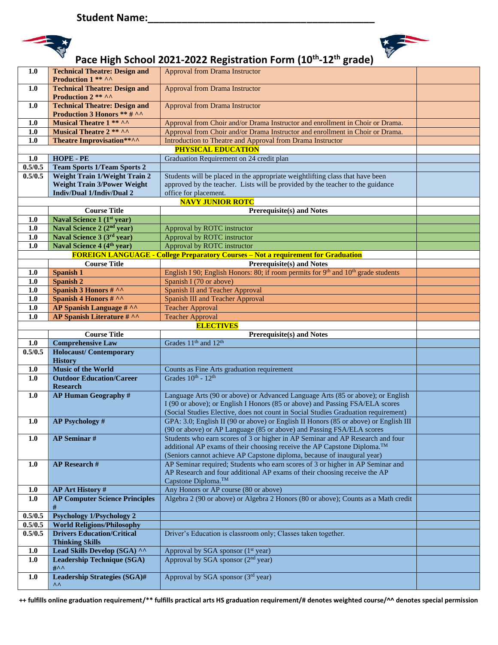



| <b>Technical Theatre: Design and</b><br>1.0<br><b>Approval from Drama Instructor</b><br>Production 2 ** ^^<br><b>Technical Theatre: Design and</b><br><b>Approval from Drama Instructor</b><br>1.0<br>Production 3 Honors ** # ^^<br>Musical Theatre 1 ** ^^<br>1.0<br>Approval from Choir and/or Drama Instructor and enrollment in Choir or Drama.<br><b>Musical Theatre 2 ** ^^</b><br>Approval from Choir and/or Drama Instructor and enrollment in Choir or Drama.<br>1.0<br>Theatre Improvisation**^^<br>1.0<br>Introduction to Theatre and Approval from Drama Instructor<br><b>PHYSICAL EDUCATION</b><br>HOPE - PE<br>$1.0$<br>Graduation Requirement on 24 credit plan<br>0.5/0.5<br><b>Team Sports 1/Team Sports 2</b><br>0.5/0.5<br><b>Weight Train 1/Weight Train 2</b><br>Students will be placed in the appropriate weightlifting class that have been<br><b>Weight Train 3/Power Weight</b><br>approved by the teacher. Lists will be provided by the teacher to the guidance<br><b>Indiv/Dual 1/Indiv/Dual 2</b><br>office for placement.<br><b>NAVY JUNIOR ROTC</b><br><b>Course Title</b><br><b>Prerequisite(s) and Notes</b><br>Naval Science 1 (1st year)<br>1.0<br>Naval Science 2 (2 <sup>nd</sup> year)<br>1.0<br>Approval by ROTC instructor<br>Naval Science 3 (3rd year)<br>1.0<br>Approval by ROTC instructor<br>Naval Science 4 (4 <sup>th</sup> year)<br>Approval by ROTC instructor<br>1.0<br><b>FOREIGN LANGUAGE - College Preparatory Courses - Not a requirement for Graduation</b><br><b>Prerequisite(s) and Notes</b><br><b>Course Title</b><br>English I 90; English Honors: 80; if room permits for $9th$ and $10th$ grade students<br>Spanish 1<br>1.0<br>1.0<br><b>Spanish 2</b><br>Spanish I (70 or above)<br>Spanish 3 Honors # ^^<br>1.0<br><b>Spanish II and Teacher Approval</b><br>Spanish 4 Honors # ^^<br><b>Spanish III and Teacher Approval</b><br>1.0<br>AP Spanish Language # ^^<br><b>Teacher Approval</b><br>1.0<br><b>AP Spanish Literature # ^^</b><br>1.0<br><b>Teacher Approval</b><br><b>ELECTIVES</b><br><b>Course Title</b><br>Prerequisite(s) and Notes<br>Grades 11 <sup>th</sup> and 12 <sup>th</sup><br><b>Comprehensive Law</b><br>1.0<br>0.5/0.5<br><b>Holocaust/Contemporary</b><br><b>History</b><br><b>Music of the World</b><br>1.0<br>Counts as Fine Arts graduation requirement<br>Grades $10^{th}$ - $12^{th}$<br><b>Outdoor Education/Career</b><br>1.0<br><b>Research</b><br>1.0<br><b>AP Human Geography #</b><br>Language Arts (90 or above) or Advanced Language Arts (85 or above); or English<br>I (90 or above); or English I Honors (85 or above) and Passing FSA/ELA scores<br>(Social Studies Elective, does not count in Social Studies Graduation requirement)<br>GPA: 3.0; English II (90 or above) or English II Honors (85 or above) or English III<br><b>AP Psychology #</b><br>1.0<br>(90 or above) or AP Language (85 or above) and Passing FSA/ELA scores<br><b>AP Seminar#</b><br>Students who earn scores of 3 or higher in AP Seminar and AP Research and four<br>1.0<br>additional AP exams of their choosing receive the AP Capstone Diploma. <sup>TM</sup><br>(Seniors cannot achieve AP Capstone diploma, because of inaugural year)<br>AP Seminar required; Students who earn scores of 3 or higher in AP Seminar and<br><b>AP</b> Research #<br>1.0<br>AP Research and four additional AP exams of their choosing receive the AP<br>Capstone Diploma. <sup>™</sup><br>Any Honors or AP course (80 or above)<br>1.0<br><b>AP Art History #</b><br><b>AP Computer Science Principles</b><br>Algebra 2 (90 or above) or Algebra 2 Honors (80 or above); Counts as a Math credit<br>$1.0$<br>#<br><b>Psychology 1/Psychology 2</b><br>0.5/0.5<br>0.5/0.5<br><b>World Religions/Philosophy</b><br><b>Drivers Education/Critical</b><br>Driver's Education is classroom only; Classes taken together.<br>0.5/0.5<br><b>Thinking Skills</b><br>Lead Skills Develop (SGA) ^^<br>1.0<br>Approval by SGA sponsor (1 <sup>st</sup> year)<br>Approval by SGA sponsor (2 <sup>nd</sup> year)<br><b>Leadership Technique (SGA)</b><br>1.0<br>$\#$<br>1.0<br><b>Leadership Strategies (SGA)#</b><br>Approval by SGA sponsor (3rd year)<br>۸۸ | 1.0 | <b>Technical Theatre: Design and</b><br>Production 1 ** ^^ | <b>Approval from Drama Instructor</b> |  |
|-------------------------------------------------------------------------------------------------------------------------------------------------------------------------------------------------------------------------------------------------------------------------------------------------------------------------------------------------------------------------------------------------------------------------------------------------------------------------------------------------------------------------------------------------------------------------------------------------------------------------------------------------------------------------------------------------------------------------------------------------------------------------------------------------------------------------------------------------------------------------------------------------------------------------------------------------------------------------------------------------------------------------------------------------------------------------------------------------------------------------------------------------------------------------------------------------------------------------------------------------------------------------------------------------------------------------------------------------------------------------------------------------------------------------------------------------------------------------------------------------------------------------------------------------------------------------------------------------------------------------------------------------------------------------------------------------------------------------------------------------------------------------------------------------------------------------------------------------------------------------------------------------------------------------------------------------------------------------------------------------------------------------------------------------------------------------------------------------------------------------------------------------------------------------------------------------------------------------------------------------------------------------------------------------------------------------------------------------------------------------------------------------------------------------------------------------------------------------------------------------------------------------------------------------------------------------------------------------------------------------------------------------------------------------------------------------------------------------------------------------------------------------------------------------------------------------------------------------------------------------------------------------------------------------------------------------------------------------------------------------------------------------------------------------------------------------------------------------------------------------------------------------------------------------------------------------------------------------------------------------------------------------------------------------------------------------------------------------------------------------------------------------------------------------------------------------------------------------------------------------------------------------------------------------------------------------------------------------------------------------------------------------------------------------------------------------------------------------------------------------------------------------------------------------------------------------------------------------------------------------------------------------------------------------------------------------------------------------------------------------------------------------------------------------------------------------------------------------------------------------------------------------------------------------------------------------------------------------------------|-----|------------------------------------------------------------|---------------------------------------|--|
|                                                                                                                                                                                                                                                                                                                                                                                                                                                                                                                                                                                                                                                                                                                                                                                                                                                                                                                                                                                                                                                                                                                                                                                                                                                                                                                                                                                                                                                                                                                                                                                                                                                                                                                                                                                                                                                                                                                                                                                                                                                                                                                                                                                                                                                                                                                                                                                                                                                                                                                                                                                                                                                                                                                                                                                                                                                                                                                                                                                                                                                                                                                                                                                                                                                                                                                                                                                                                                                                                                                                                                                                                                                                                                                                                                                                                                                                                                                                                                                                                                                                                                                                                                                                                                     |     |                                                            |                                       |  |
|                                                                                                                                                                                                                                                                                                                                                                                                                                                                                                                                                                                                                                                                                                                                                                                                                                                                                                                                                                                                                                                                                                                                                                                                                                                                                                                                                                                                                                                                                                                                                                                                                                                                                                                                                                                                                                                                                                                                                                                                                                                                                                                                                                                                                                                                                                                                                                                                                                                                                                                                                                                                                                                                                                                                                                                                                                                                                                                                                                                                                                                                                                                                                                                                                                                                                                                                                                                                                                                                                                                                                                                                                                                                                                                                                                                                                                                                                                                                                                                                                                                                                                                                                                                                                                     |     |                                                            |                                       |  |
|                                                                                                                                                                                                                                                                                                                                                                                                                                                                                                                                                                                                                                                                                                                                                                                                                                                                                                                                                                                                                                                                                                                                                                                                                                                                                                                                                                                                                                                                                                                                                                                                                                                                                                                                                                                                                                                                                                                                                                                                                                                                                                                                                                                                                                                                                                                                                                                                                                                                                                                                                                                                                                                                                                                                                                                                                                                                                                                                                                                                                                                                                                                                                                                                                                                                                                                                                                                                                                                                                                                                                                                                                                                                                                                                                                                                                                                                                                                                                                                                                                                                                                                                                                                                                                     |     |                                                            |                                       |  |
|                                                                                                                                                                                                                                                                                                                                                                                                                                                                                                                                                                                                                                                                                                                                                                                                                                                                                                                                                                                                                                                                                                                                                                                                                                                                                                                                                                                                                                                                                                                                                                                                                                                                                                                                                                                                                                                                                                                                                                                                                                                                                                                                                                                                                                                                                                                                                                                                                                                                                                                                                                                                                                                                                                                                                                                                                                                                                                                                                                                                                                                                                                                                                                                                                                                                                                                                                                                                                                                                                                                                                                                                                                                                                                                                                                                                                                                                                                                                                                                                                                                                                                                                                                                                                                     |     |                                                            |                                       |  |
|                                                                                                                                                                                                                                                                                                                                                                                                                                                                                                                                                                                                                                                                                                                                                                                                                                                                                                                                                                                                                                                                                                                                                                                                                                                                                                                                                                                                                                                                                                                                                                                                                                                                                                                                                                                                                                                                                                                                                                                                                                                                                                                                                                                                                                                                                                                                                                                                                                                                                                                                                                                                                                                                                                                                                                                                                                                                                                                                                                                                                                                                                                                                                                                                                                                                                                                                                                                                                                                                                                                                                                                                                                                                                                                                                                                                                                                                                                                                                                                                                                                                                                                                                                                                                                     |     |                                                            |                                       |  |
|                                                                                                                                                                                                                                                                                                                                                                                                                                                                                                                                                                                                                                                                                                                                                                                                                                                                                                                                                                                                                                                                                                                                                                                                                                                                                                                                                                                                                                                                                                                                                                                                                                                                                                                                                                                                                                                                                                                                                                                                                                                                                                                                                                                                                                                                                                                                                                                                                                                                                                                                                                                                                                                                                                                                                                                                                                                                                                                                                                                                                                                                                                                                                                                                                                                                                                                                                                                                                                                                                                                                                                                                                                                                                                                                                                                                                                                                                                                                                                                                                                                                                                                                                                                                                                     |     |                                                            |                                       |  |
|                                                                                                                                                                                                                                                                                                                                                                                                                                                                                                                                                                                                                                                                                                                                                                                                                                                                                                                                                                                                                                                                                                                                                                                                                                                                                                                                                                                                                                                                                                                                                                                                                                                                                                                                                                                                                                                                                                                                                                                                                                                                                                                                                                                                                                                                                                                                                                                                                                                                                                                                                                                                                                                                                                                                                                                                                                                                                                                                                                                                                                                                                                                                                                                                                                                                                                                                                                                                                                                                                                                                                                                                                                                                                                                                                                                                                                                                                                                                                                                                                                                                                                                                                                                                                                     |     |                                                            |                                       |  |
|                                                                                                                                                                                                                                                                                                                                                                                                                                                                                                                                                                                                                                                                                                                                                                                                                                                                                                                                                                                                                                                                                                                                                                                                                                                                                                                                                                                                                                                                                                                                                                                                                                                                                                                                                                                                                                                                                                                                                                                                                                                                                                                                                                                                                                                                                                                                                                                                                                                                                                                                                                                                                                                                                                                                                                                                                                                                                                                                                                                                                                                                                                                                                                                                                                                                                                                                                                                                                                                                                                                                                                                                                                                                                                                                                                                                                                                                                                                                                                                                                                                                                                                                                                                                                                     |     |                                                            |                                       |  |
|                                                                                                                                                                                                                                                                                                                                                                                                                                                                                                                                                                                                                                                                                                                                                                                                                                                                                                                                                                                                                                                                                                                                                                                                                                                                                                                                                                                                                                                                                                                                                                                                                                                                                                                                                                                                                                                                                                                                                                                                                                                                                                                                                                                                                                                                                                                                                                                                                                                                                                                                                                                                                                                                                                                                                                                                                                                                                                                                                                                                                                                                                                                                                                                                                                                                                                                                                                                                                                                                                                                                                                                                                                                                                                                                                                                                                                                                                                                                                                                                                                                                                                                                                                                                                                     |     |                                                            |                                       |  |
|                                                                                                                                                                                                                                                                                                                                                                                                                                                                                                                                                                                                                                                                                                                                                                                                                                                                                                                                                                                                                                                                                                                                                                                                                                                                                                                                                                                                                                                                                                                                                                                                                                                                                                                                                                                                                                                                                                                                                                                                                                                                                                                                                                                                                                                                                                                                                                                                                                                                                                                                                                                                                                                                                                                                                                                                                                                                                                                                                                                                                                                                                                                                                                                                                                                                                                                                                                                                                                                                                                                                                                                                                                                                                                                                                                                                                                                                                                                                                                                                                                                                                                                                                                                                                                     |     |                                                            |                                       |  |
|                                                                                                                                                                                                                                                                                                                                                                                                                                                                                                                                                                                                                                                                                                                                                                                                                                                                                                                                                                                                                                                                                                                                                                                                                                                                                                                                                                                                                                                                                                                                                                                                                                                                                                                                                                                                                                                                                                                                                                                                                                                                                                                                                                                                                                                                                                                                                                                                                                                                                                                                                                                                                                                                                                                                                                                                                                                                                                                                                                                                                                                                                                                                                                                                                                                                                                                                                                                                                                                                                                                                                                                                                                                                                                                                                                                                                                                                                                                                                                                                                                                                                                                                                                                                                                     |     |                                                            |                                       |  |
|                                                                                                                                                                                                                                                                                                                                                                                                                                                                                                                                                                                                                                                                                                                                                                                                                                                                                                                                                                                                                                                                                                                                                                                                                                                                                                                                                                                                                                                                                                                                                                                                                                                                                                                                                                                                                                                                                                                                                                                                                                                                                                                                                                                                                                                                                                                                                                                                                                                                                                                                                                                                                                                                                                                                                                                                                                                                                                                                                                                                                                                                                                                                                                                                                                                                                                                                                                                                                                                                                                                                                                                                                                                                                                                                                                                                                                                                                                                                                                                                                                                                                                                                                                                                                                     |     |                                                            |                                       |  |
|                                                                                                                                                                                                                                                                                                                                                                                                                                                                                                                                                                                                                                                                                                                                                                                                                                                                                                                                                                                                                                                                                                                                                                                                                                                                                                                                                                                                                                                                                                                                                                                                                                                                                                                                                                                                                                                                                                                                                                                                                                                                                                                                                                                                                                                                                                                                                                                                                                                                                                                                                                                                                                                                                                                                                                                                                                                                                                                                                                                                                                                                                                                                                                                                                                                                                                                                                                                                                                                                                                                                                                                                                                                                                                                                                                                                                                                                                                                                                                                                                                                                                                                                                                                                                                     |     |                                                            |                                       |  |
|                                                                                                                                                                                                                                                                                                                                                                                                                                                                                                                                                                                                                                                                                                                                                                                                                                                                                                                                                                                                                                                                                                                                                                                                                                                                                                                                                                                                                                                                                                                                                                                                                                                                                                                                                                                                                                                                                                                                                                                                                                                                                                                                                                                                                                                                                                                                                                                                                                                                                                                                                                                                                                                                                                                                                                                                                                                                                                                                                                                                                                                                                                                                                                                                                                                                                                                                                                                                                                                                                                                                                                                                                                                                                                                                                                                                                                                                                                                                                                                                                                                                                                                                                                                                                                     |     |                                                            |                                       |  |
|                                                                                                                                                                                                                                                                                                                                                                                                                                                                                                                                                                                                                                                                                                                                                                                                                                                                                                                                                                                                                                                                                                                                                                                                                                                                                                                                                                                                                                                                                                                                                                                                                                                                                                                                                                                                                                                                                                                                                                                                                                                                                                                                                                                                                                                                                                                                                                                                                                                                                                                                                                                                                                                                                                                                                                                                                                                                                                                                                                                                                                                                                                                                                                                                                                                                                                                                                                                                                                                                                                                                                                                                                                                                                                                                                                                                                                                                                                                                                                                                                                                                                                                                                                                                                                     |     |                                                            |                                       |  |
|                                                                                                                                                                                                                                                                                                                                                                                                                                                                                                                                                                                                                                                                                                                                                                                                                                                                                                                                                                                                                                                                                                                                                                                                                                                                                                                                                                                                                                                                                                                                                                                                                                                                                                                                                                                                                                                                                                                                                                                                                                                                                                                                                                                                                                                                                                                                                                                                                                                                                                                                                                                                                                                                                                                                                                                                                                                                                                                                                                                                                                                                                                                                                                                                                                                                                                                                                                                                                                                                                                                                                                                                                                                                                                                                                                                                                                                                                                                                                                                                                                                                                                                                                                                                                                     |     |                                                            |                                       |  |
|                                                                                                                                                                                                                                                                                                                                                                                                                                                                                                                                                                                                                                                                                                                                                                                                                                                                                                                                                                                                                                                                                                                                                                                                                                                                                                                                                                                                                                                                                                                                                                                                                                                                                                                                                                                                                                                                                                                                                                                                                                                                                                                                                                                                                                                                                                                                                                                                                                                                                                                                                                                                                                                                                                                                                                                                                                                                                                                                                                                                                                                                                                                                                                                                                                                                                                                                                                                                                                                                                                                                                                                                                                                                                                                                                                                                                                                                                                                                                                                                                                                                                                                                                                                                                                     |     |                                                            |                                       |  |
|                                                                                                                                                                                                                                                                                                                                                                                                                                                                                                                                                                                                                                                                                                                                                                                                                                                                                                                                                                                                                                                                                                                                                                                                                                                                                                                                                                                                                                                                                                                                                                                                                                                                                                                                                                                                                                                                                                                                                                                                                                                                                                                                                                                                                                                                                                                                                                                                                                                                                                                                                                                                                                                                                                                                                                                                                                                                                                                                                                                                                                                                                                                                                                                                                                                                                                                                                                                                                                                                                                                                                                                                                                                                                                                                                                                                                                                                                                                                                                                                                                                                                                                                                                                                                                     |     |                                                            |                                       |  |
|                                                                                                                                                                                                                                                                                                                                                                                                                                                                                                                                                                                                                                                                                                                                                                                                                                                                                                                                                                                                                                                                                                                                                                                                                                                                                                                                                                                                                                                                                                                                                                                                                                                                                                                                                                                                                                                                                                                                                                                                                                                                                                                                                                                                                                                                                                                                                                                                                                                                                                                                                                                                                                                                                                                                                                                                                                                                                                                                                                                                                                                                                                                                                                                                                                                                                                                                                                                                                                                                                                                                                                                                                                                                                                                                                                                                                                                                                                                                                                                                                                                                                                                                                                                                                                     |     |                                                            |                                       |  |
|                                                                                                                                                                                                                                                                                                                                                                                                                                                                                                                                                                                                                                                                                                                                                                                                                                                                                                                                                                                                                                                                                                                                                                                                                                                                                                                                                                                                                                                                                                                                                                                                                                                                                                                                                                                                                                                                                                                                                                                                                                                                                                                                                                                                                                                                                                                                                                                                                                                                                                                                                                                                                                                                                                                                                                                                                                                                                                                                                                                                                                                                                                                                                                                                                                                                                                                                                                                                                                                                                                                                                                                                                                                                                                                                                                                                                                                                                                                                                                                                                                                                                                                                                                                                                                     |     |                                                            |                                       |  |
|                                                                                                                                                                                                                                                                                                                                                                                                                                                                                                                                                                                                                                                                                                                                                                                                                                                                                                                                                                                                                                                                                                                                                                                                                                                                                                                                                                                                                                                                                                                                                                                                                                                                                                                                                                                                                                                                                                                                                                                                                                                                                                                                                                                                                                                                                                                                                                                                                                                                                                                                                                                                                                                                                                                                                                                                                                                                                                                                                                                                                                                                                                                                                                                                                                                                                                                                                                                                                                                                                                                                                                                                                                                                                                                                                                                                                                                                                                                                                                                                                                                                                                                                                                                                                                     |     |                                                            |                                       |  |
|                                                                                                                                                                                                                                                                                                                                                                                                                                                                                                                                                                                                                                                                                                                                                                                                                                                                                                                                                                                                                                                                                                                                                                                                                                                                                                                                                                                                                                                                                                                                                                                                                                                                                                                                                                                                                                                                                                                                                                                                                                                                                                                                                                                                                                                                                                                                                                                                                                                                                                                                                                                                                                                                                                                                                                                                                                                                                                                                                                                                                                                                                                                                                                                                                                                                                                                                                                                                                                                                                                                                                                                                                                                                                                                                                                                                                                                                                                                                                                                                                                                                                                                                                                                                                                     |     |                                                            |                                       |  |
|                                                                                                                                                                                                                                                                                                                                                                                                                                                                                                                                                                                                                                                                                                                                                                                                                                                                                                                                                                                                                                                                                                                                                                                                                                                                                                                                                                                                                                                                                                                                                                                                                                                                                                                                                                                                                                                                                                                                                                                                                                                                                                                                                                                                                                                                                                                                                                                                                                                                                                                                                                                                                                                                                                                                                                                                                                                                                                                                                                                                                                                                                                                                                                                                                                                                                                                                                                                                                                                                                                                                                                                                                                                                                                                                                                                                                                                                                                                                                                                                                                                                                                                                                                                                                                     |     |                                                            |                                       |  |
|                                                                                                                                                                                                                                                                                                                                                                                                                                                                                                                                                                                                                                                                                                                                                                                                                                                                                                                                                                                                                                                                                                                                                                                                                                                                                                                                                                                                                                                                                                                                                                                                                                                                                                                                                                                                                                                                                                                                                                                                                                                                                                                                                                                                                                                                                                                                                                                                                                                                                                                                                                                                                                                                                                                                                                                                                                                                                                                                                                                                                                                                                                                                                                                                                                                                                                                                                                                                                                                                                                                                                                                                                                                                                                                                                                                                                                                                                                                                                                                                                                                                                                                                                                                                                                     |     |                                                            |                                       |  |
|                                                                                                                                                                                                                                                                                                                                                                                                                                                                                                                                                                                                                                                                                                                                                                                                                                                                                                                                                                                                                                                                                                                                                                                                                                                                                                                                                                                                                                                                                                                                                                                                                                                                                                                                                                                                                                                                                                                                                                                                                                                                                                                                                                                                                                                                                                                                                                                                                                                                                                                                                                                                                                                                                                                                                                                                                                                                                                                                                                                                                                                                                                                                                                                                                                                                                                                                                                                                                                                                                                                                                                                                                                                                                                                                                                                                                                                                                                                                                                                                                                                                                                                                                                                                                                     |     |                                                            |                                       |  |
|                                                                                                                                                                                                                                                                                                                                                                                                                                                                                                                                                                                                                                                                                                                                                                                                                                                                                                                                                                                                                                                                                                                                                                                                                                                                                                                                                                                                                                                                                                                                                                                                                                                                                                                                                                                                                                                                                                                                                                                                                                                                                                                                                                                                                                                                                                                                                                                                                                                                                                                                                                                                                                                                                                                                                                                                                                                                                                                                                                                                                                                                                                                                                                                                                                                                                                                                                                                                                                                                                                                                                                                                                                                                                                                                                                                                                                                                                                                                                                                                                                                                                                                                                                                                                                     |     |                                                            |                                       |  |
|                                                                                                                                                                                                                                                                                                                                                                                                                                                                                                                                                                                                                                                                                                                                                                                                                                                                                                                                                                                                                                                                                                                                                                                                                                                                                                                                                                                                                                                                                                                                                                                                                                                                                                                                                                                                                                                                                                                                                                                                                                                                                                                                                                                                                                                                                                                                                                                                                                                                                                                                                                                                                                                                                                                                                                                                                                                                                                                                                                                                                                                                                                                                                                                                                                                                                                                                                                                                                                                                                                                                                                                                                                                                                                                                                                                                                                                                                                                                                                                                                                                                                                                                                                                                                                     |     |                                                            |                                       |  |
|                                                                                                                                                                                                                                                                                                                                                                                                                                                                                                                                                                                                                                                                                                                                                                                                                                                                                                                                                                                                                                                                                                                                                                                                                                                                                                                                                                                                                                                                                                                                                                                                                                                                                                                                                                                                                                                                                                                                                                                                                                                                                                                                                                                                                                                                                                                                                                                                                                                                                                                                                                                                                                                                                                                                                                                                                                                                                                                                                                                                                                                                                                                                                                                                                                                                                                                                                                                                                                                                                                                                                                                                                                                                                                                                                                                                                                                                                                                                                                                                                                                                                                                                                                                                                                     |     |                                                            |                                       |  |
|                                                                                                                                                                                                                                                                                                                                                                                                                                                                                                                                                                                                                                                                                                                                                                                                                                                                                                                                                                                                                                                                                                                                                                                                                                                                                                                                                                                                                                                                                                                                                                                                                                                                                                                                                                                                                                                                                                                                                                                                                                                                                                                                                                                                                                                                                                                                                                                                                                                                                                                                                                                                                                                                                                                                                                                                                                                                                                                                                                                                                                                                                                                                                                                                                                                                                                                                                                                                                                                                                                                                                                                                                                                                                                                                                                                                                                                                                                                                                                                                                                                                                                                                                                                                                                     |     |                                                            |                                       |  |
|                                                                                                                                                                                                                                                                                                                                                                                                                                                                                                                                                                                                                                                                                                                                                                                                                                                                                                                                                                                                                                                                                                                                                                                                                                                                                                                                                                                                                                                                                                                                                                                                                                                                                                                                                                                                                                                                                                                                                                                                                                                                                                                                                                                                                                                                                                                                                                                                                                                                                                                                                                                                                                                                                                                                                                                                                                                                                                                                                                                                                                                                                                                                                                                                                                                                                                                                                                                                                                                                                                                                                                                                                                                                                                                                                                                                                                                                                                                                                                                                                                                                                                                                                                                                                                     |     |                                                            |                                       |  |
|                                                                                                                                                                                                                                                                                                                                                                                                                                                                                                                                                                                                                                                                                                                                                                                                                                                                                                                                                                                                                                                                                                                                                                                                                                                                                                                                                                                                                                                                                                                                                                                                                                                                                                                                                                                                                                                                                                                                                                                                                                                                                                                                                                                                                                                                                                                                                                                                                                                                                                                                                                                                                                                                                                                                                                                                                                                                                                                                                                                                                                                                                                                                                                                                                                                                                                                                                                                                                                                                                                                                                                                                                                                                                                                                                                                                                                                                                                                                                                                                                                                                                                                                                                                                                                     |     |                                                            |                                       |  |
|                                                                                                                                                                                                                                                                                                                                                                                                                                                                                                                                                                                                                                                                                                                                                                                                                                                                                                                                                                                                                                                                                                                                                                                                                                                                                                                                                                                                                                                                                                                                                                                                                                                                                                                                                                                                                                                                                                                                                                                                                                                                                                                                                                                                                                                                                                                                                                                                                                                                                                                                                                                                                                                                                                                                                                                                                                                                                                                                                                                                                                                                                                                                                                                                                                                                                                                                                                                                                                                                                                                                                                                                                                                                                                                                                                                                                                                                                                                                                                                                                                                                                                                                                                                                                                     |     |                                                            |                                       |  |
|                                                                                                                                                                                                                                                                                                                                                                                                                                                                                                                                                                                                                                                                                                                                                                                                                                                                                                                                                                                                                                                                                                                                                                                                                                                                                                                                                                                                                                                                                                                                                                                                                                                                                                                                                                                                                                                                                                                                                                                                                                                                                                                                                                                                                                                                                                                                                                                                                                                                                                                                                                                                                                                                                                                                                                                                                                                                                                                                                                                                                                                                                                                                                                                                                                                                                                                                                                                                                                                                                                                                                                                                                                                                                                                                                                                                                                                                                                                                                                                                                                                                                                                                                                                                                                     |     |                                                            |                                       |  |
|                                                                                                                                                                                                                                                                                                                                                                                                                                                                                                                                                                                                                                                                                                                                                                                                                                                                                                                                                                                                                                                                                                                                                                                                                                                                                                                                                                                                                                                                                                                                                                                                                                                                                                                                                                                                                                                                                                                                                                                                                                                                                                                                                                                                                                                                                                                                                                                                                                                                                                                                                                                                                                                                                                                                                                                                                                                                                                                                                                                                                                                                                                                                                                                                                                                                                                                                                                                                                                                                                                                                                                                                                                                                                                                                                                                                                                                                                                                                                                                                                                                                                                                                                                                                                                     |     |                                                            |                                       |  |
|                                                                                                                                                                                                                                                                                                                                                                                                                                                                                                                                                                                                                                                                                                                                                                                                                                                                                                                                                                                                                                                                                                                                                                                                                                                                                                                                                                                                                                                                                                                                                                                                                                                                                                                                                                                                                                                                                                                                                                                                                                                                                                                                                                                                                                                                                                                                                                                                                                                                                                                                                                                                                                                                                                                                                                                                                                                                                                                                                                                                                                                                                                                                                                                                                                                                                                                                                                                                                                                                                                                                                                                                                                                                                                                                                                                                                                                                                                                                                                                                                                                                                                                                                                                                                                     |     |                                                            |                                       |  |
|                                                                                                                                                                                                                                                                                                                                                                                                                                                                                                                                                                                                                                                                                                                                                                                                                                                                                                                                                                                                                                                                                                                                                                                                                                                                                                                                                                                                                                                                                                                                                                                                                                                                                                                                                                                                                                                                                                                                                                                                                                                                                                                                                                                                                                                                                                                                                                                                                                                                                                                                                                                                                                                                                                                                                                                                                                                                                                                                                                                                                                                                                                                                                                                                                                                                                                                                                                                                                                                                                                                                                                                                                                                                                                                                                                                                                                                                                                                                                                                                                                                                                                                                                                                                                                     |     |                                                            |                                       |  |
|                                                                                                                                                                                                                                                                                                                                                                                                                                                                                                                                                                                                                                                                                                                                                                                                                                                                                                                                                                                                                                                                                                                                                                                                                                                                                                                                                                                                                                                                                                                                                                                                                                                                                                                                                                                                                                                                                                                                                                                                                                                                                                                                                                                                                                                                                                                                                                                                                                                                                                                                                                                                                                                                                                                                                                                                                                                                                                                                                                                                                                                                                                                                                                                                                                                                                                                                                                                                                                                                                                                                                                                                                                                                                                                                                                                                                                                                                                                                                                                                                                                                                                                                                                                                                                     |     |                                                            |                                       |  |
|                                                                                                                                                                                                                                                                                                                                                                                                                                                                                                                                                                                                                                                                                                                                                                                                                                                                                                                                                                                                                                                                                                                                                                                                                                                                                                                                                                                                                                                                                                                                                                                                                                                                                                                                                                                                                                                                                                                                                                                                                                                                                                                                                                                                                                                                                                                                                                                                                                                                                                                                                                                                                                                                                                                                                                                                                                                                                                                                                                                                                                                                                                                                                                                                                                                                                                                                                                                                                                                                                                                                                                                                                                                                                                                                                                                                                                                                                                                                                                                                                                                                                                                                                                                                                                     |     |                                                            |                                       |  |
|                                                                                                                                                                                                                                                                                                                                                                                                                                                                                                                                                                                                                                                                                                                                                                                                                                                                                                                                                                                                                                                                                                                                                                                                                                                                                                                                                                                                                                                                                                                                                                                                                                                                                                                                                                                                                                                                                                                                                                                                                                                                                                                                                                                                                                                                                                                                                                                                                                                                                                                                                                                                                                                                                                                                                                                                                                                                                                                                                                                                                                                                                                                                                                                                                                                                                                                                                                                                                                                                                                                                                                                                                                                                                                                                                                                                                                                                                                                                                                                                                                                                                                                                                                                                                                     |     |                                                            |                                       |  |
|                                                                                                                                                                                                                                                                                                                                                                                                                                                                                                                                                                                                                                                                                                                                                                                                                                                                                                                                                                                                                                                                                                                                                                                                                                                                                                                                                                                                                                                                                                                                                                                                                                                                                                                                                                                                                                                                                                                                                                                                                                                                                                                                                                                                                                                                                                                                                                                                                                                                                                                                                                                                                                                                                                                                                                                                                                                                                                                                                                                                                                                                                                                                                                                                                                                                                                                                                                                                                                                                                                                                                                                                                                                                                                                                                                                                                                                                                                                                                                                                                                                                                                                                                                                                                                     |     |                                                            |                                       |  |
|                                                                                                                                                                                                                                                                                                                                                                                                                                                                                                                                                                                                                                                                                                                                                                                                                                                                                                                                                                                                                                                                                                                                                                                                                                                                                                                                                                                                                                                                                                                                                                                                                                                                                                                                                                                                                                                                                                                                                                                                                                                                                                                                                                                                                                                                                                                                                                                                                                                                                                                                                                                                                                                                                                                                                                                                                                                                                                                                                                                                                                                                                                                                                                                                                                                                                                                                                                                                                                                                                                                                                                                                                                                                                                                                                                                                                                                                                                                                                                                                                                                                                                                                                                                                                                     |     |                                                            |                                       |  |
|                                                                                                                                                                                                                                                                                                                                                                                                                                                                                                                                                                                                                                                                                                                                                                                                                                                                                                                                                                                                                                                                                                                                                                                                                                                                                                                                                                                                                                                                                                                                                                                                                                                                                                                                                                                                                                                                                                                                                                                                                                                                                                                                                                                                                                                                                                                                                                                                                                                                                                                                                                                                                                                                                                                                                                                                                                                                                                                                                                                                                                                                                                                                                                                                                                                                                                                                                                                                                                                                                                                                                                                                                                                                                                                                                                                                                                                                                                                                                                                                                                                                                                                                                                                                                                     |     |                                                            |                                       |  |
|                                                                                                                                                                                                                                                                                                                                                                                                                                                                                                                                                                                                                                                                                                                                                                                                                                                                                                                                                                                                                                                                                                                                                                                                                                                                                                                                                                                                                                                                                                                                                                                                                                                                                                                                                                                                                                                                                                                                                                                                                                                                                                                                                                                                                                                                                                                                                                                                                                                                                                                                                                                                                                                                                                                                                                                                                                                                                                                                                                                                                                                                                                                                                                                                                                                                                                                                                                                                                                                                                                                                                                                                                                                                                                                                                                                                                                                                                                                                                                                                                                                                                                                                                                                                                                     |     |                                                            |                                       |  |
|                                                                                                                                                                                                                                                                                                                                                                                                                                                                                                                                                                                                                                                                                                                                                                                                                                                                                                                                                                                                                                                                                                                                                                                                                                                                                                                                                                                                                                                                                                                                                                                                                                                                                                                                                                                                                                                                                                                                                                                                                                                                                                                                                                                                                                                                                                                                                                                                                                                                                                                                                                                                                                                                                                                                                                                                                                                                                                                                                                                                                                                                                                                                                                                                                                                                                                                                                                                                                                                                                                                                                                                                                                                                                                                                                                                                                                                                                                                                                                                                                                                                                                                                                                                                                                     |     |                                                            |                                       |  |
|                                                                                                                                                                                                                                                                                                                                                                                                                                                                                                                                                                                                                                                                                                                                                                                                                                                                                                                                                                                                                                                                                                                                                                                                                                                                                                                                                                                                                                                                                                                                                                                                                                                                                                                                                                                                                                                                                                                                                                                                                                                                                                                                                                                                                                                                                                                                                                                                                                                                                                                                                                                                                                                                                                                                                                                                                                                                                                                                                                                                                                                                                                                                                                                                                                                                                                                                                                                                                                                                                                                                                                                                                                                                                                                                                                                                                                                                                                                                                                                                                                                                                                                                                                                                                                     |     |                                                            |                                       |  |
|                                                                                                                                                                                                                                                                                                                                                                                                                                                                                                                                                                                                                                                                                                                                                                                                                                                                                                                                                                                                                                                                                                                                                                                                                                                                                                                                                                                                                                                                                                                                                                                                                                                                                                                                                                                                                                                                                                                                                                                                                                                                                                                                                                                                                                                                                                                                                                                                                                                                                                                                                                                                                                                                                                                                                                                                                                                                                                                                                                                                                                                                                                                                                                                                                                                                                                                                                                                                                                                                                                                                                                                                                                                                                                                                                                                                                                                                                                                                                                                                                                                                                                                                                                                                                                     |     |                                                            |                                       |  |
|                                                                                                                                                                                                                                                                                                                                                                                                                                                                                                                                                                                                                                                                                                                                                                                                                                                                                                                                                                                                                                                                                                                                                                                                                                                                                                                                                                                                                                                                                                                                                                                                                                                                                                                                                                                                                                                                                                                                                                                                                                                                                                                                                                                                                                                                                                                                                                                                                                                                                                                                                                                                                                                                                                                                                                                                                                                                                                                                                                                                                                                                                                                                                                                                                                                                                                                                                                                                                                                                                                                                                                                                                                                                                                                                                                                                                                                                                                                                                                                                                                                                                                                                                                                                                                     |     |                                                            |                                       |  |
|                                                                                                                                                                                                                                                                                                                                                                                                                                                                                                                                                                                                                                                                                                                                                                                                                                                                                                                                                                                                                                                                                                                                                                                                                                                                                                                                                                                                                                                                                                                                                                                                                                                                                                                                                                                                                                                                                                                                                                                                                                                                                                                                                                                                                                                                                                                                                                                                                                                                                                                                                                                                                                                                                                                                                                                                                                                                                                                                                                                                                                                                                                                                                                                                                                                                                                                                                                                                                                                                                                                                                                                                                                                                                                                                                                                                                                                                                                                                                                                                                                                                                                                                                                                                                                     |     |                                                            |                                       |  |
|                                                                                                                                                                                                                                                                                                                                                                                                                                                                                                                                                                                                                                                                                                                                                                                                                                                                                                                                                                                                                                                                                                                                                                                                                                                                                                                                                                                                                                                                                                                                                                                                                                                                                                                                                                                                                                                                                                                                                                                                                                                                                                                                                                                                                                                                                                                                                                                                                                                                                                                                                                                                                                                                                                                                                                                                                                                                                                                                                                                                                                                                                                                                                                                                                                                                                                                                                                                                                                                                                                                                                                                                                                                                                                                                                                                                                                                                                                                                                                                                                                                                                                                                                                                                                                     |     |                                                            |                                       |  |
|                                                                                                                                                                                                                                                                                                                                                                                                                                                                                                                                                                                                                                                                                                                                                                                                                                                                                                                                                                                                                                                                                                                                                                                                                                                                                                                                                                                                                                                                                                                                                                                                                                                                                                                                                                                                                                                                                                                                                                                                                                                                                                                                                                                                                                                                                                                                                                                                                                                                                                                                                                                                                                                                                                                                                                                                                                                                                                                                                                                                                                                                                                                                                                                                                                                                                                                                                                                                                                                                                                                                                                                                                                                                                                                                                                                                                                                                                                                                                                                                                                                                                                                                                                                                                                     |     |                                                            |                                       |  |